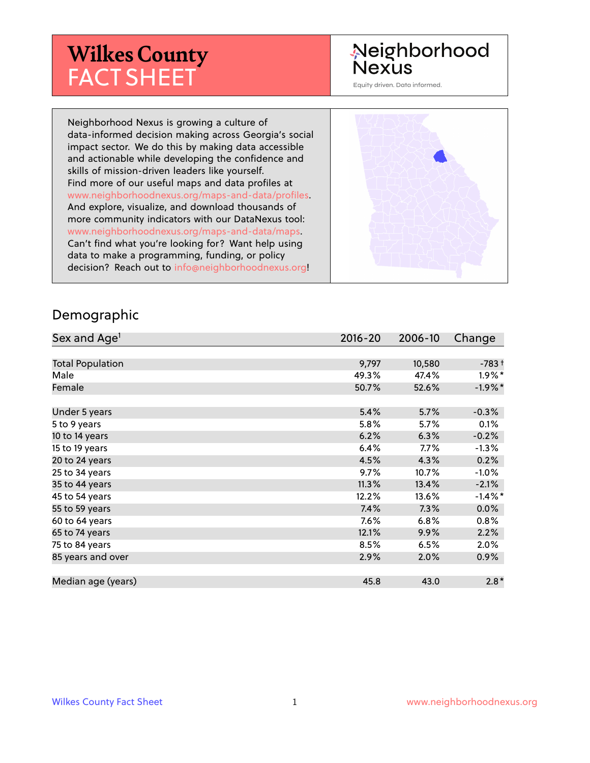# **Wilkes County** FACT SHEET

#### Neighborhood Nexus

Equity driven. Data informed.

Neighborhood Nexus is growing a culture of data-informed decision making across Georgia's social impact sector. We do this by making data accessible and actionable while developing the confidence and skills of mission-driven leaders like yourself. Find more of our useful maps and data profiles at www.neighborhoodnexus.org/maps-and-data/profiles. And explore, visualize, and download thousands of more community indicators with our DataNexus tool: www.neighborhoodnexus.org/maps-and-data/maps. Can't find what you're looking for? Want help using data to make a programming, funding, or policy decision? Reach out to [info@neighborhoodnexus.org!](mailto:info@neighborhoodnexus.org)



#### Demographic

| Sex and Age <sup>1</sup> | $2016 - 20$ | 2006-10 | Change     |
|--------------------------|-------------|---------|------------|
|                          |             |         |            |
| <b>Total Population</b>  | 9,797       | 10,580  | $-783+$    |
| Male                     | 49.3%       | 47.4%   | $1.9\%$ *  |
| Female                   | 50.7%       | 52.6%   | $-1.9%$ *  |
|                          |             |         |            |
| Under 5 years            | 5.4%        | 5.7%    | $-0.3%$    |
| 5 to 9 years             | 5.8%        | 5.7%    | 0.1%       |
| 10 to 14 years           | 6.2%        | 6.3%    | $-0.2%$    |
| 15 to 19 years           | 6.4%        | $7.7\%$ | $-1.3%$    |
| 20 to 24 years           | 4.5%        | 4.3%    | 0.2%       |
| 25 to 34 years           | 9.7%        | 10.7%   | $-1.0%$    |
| 35 to 44 years           | 11.3%       | 13.4%   | $-2.1%$    |
| 45 to 54 years           | 12.2%       | 13.6%   | $-1.4\%$ * |
| 55 to 59 years           | 7.4%        | 7.3%    | 0.0%       |
| 60 to 64 years           | 7.6%        | 6.8%    | 0.8%       |
| 65 to 74 years           | 12.1%       | 9.9%    | 2.2%       |
| 75 to 84 years           | 8.5%        | 6.5%    | 2.0%       |
| 85 years and over        | 2.9%        | 2.0%    | $0.9\%$    |
|                          |             |         |            |
| Median age (years)       | 45.8        | 43.0    | $2.8*$     |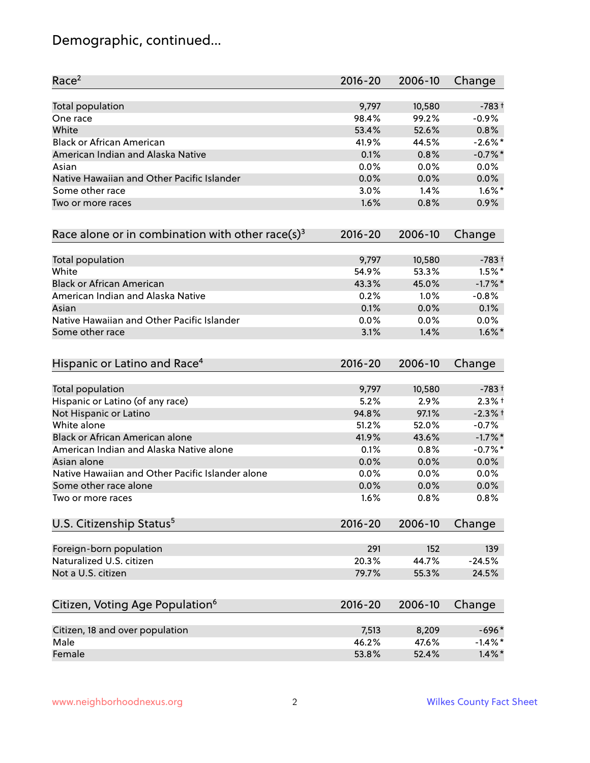# Demographic, continued...

| Race <sup>2</sup>                                   | $2016 - 20$ | 2006-10 | Change     |
|-----------------------------------------------------|-------------|---------|------------|
| <b>Total population</b>                             | 9,797       | 10,580  | $-783+$    |
| One race                                            | 98.4%       | 99.2%   | $-0.9%$    |
| White                                               | 53.4%       | 52.6%   | 0.8%       |
| <b>Black or African American</b>                    | 41.9%       | 44.5%   | $-2.6\%$ * |
| American Indian and Alaska Native                   | 0.1%        | 0.8%    | $-0.7%$ *  |
| Asian                                               | 0.0%        | 0.0%    | 0.0%       |
| Native Hawaiian and Other Pacific Islander          | 0.0%        | 0.0%    | 0.0%       |
| Some other race                                     | 3.0%        | 1.4%    | $1.6\%$ *  |
| Two or more races                                   | 1.6%        | 0.8%    | 0.9%       |
| Race alone or in combination with other race(s) $3$ | $2016 - 20$ | 2006-10 | Change     |
| Total population                                    | 9,797       | 10,580  | $-783+$    |
| White                                               | 54.9%       | 53.3%   | $1.5\%$ *  |
| <b>Black or African American</b>                    | 43.3%       | 45.0%   | $-1.7%$ *  |
| American Indian and Alaska Native                   | 0.2%        | 1.0%    | $-0.8%$    |
| Asian                                               | 0.1%        | 0.0%    | 0.1%       |
| Native Hawaiian and Other Pacific Islander          | 0.0%        | 0.0%    | 0.0%       |
| Some other race                                     | 3.1%        | 1.4%    | $1.6\%$ *  |
| Hispanic or Latino and Race <sup>4</sup>            | $2016 - 20$ | 2006-10 | Change     |
| <b>Total population</b>                             | 9,797       | 10,580  | $-783+$    |
| Hispanic or Latino (of any race)                    | 5.2%        | 2.9%    | $2.3%$ +   |
| Not Hispanic or Latino                              | 94.8%       | 97.1%   | $-2.3%$ +  |
| White alone                                         | 51.2%       | 52.0%   | $-0.7%$    |
| Black or African American alone                     | 41.9%       | 43.6%   | $-1.7\%$ * |
| American Indian and Alaska Native alone             | 0.1%        | 0.8%    | $-0.7%$ *  |
| Asian alone                                         | 0.0%        | 0.0%    | 0.0%       |
| Native Hawaiian and Other Pacific Islander alone    | 0.0%        | 0.0%    | 0.0%       |
| Some other race alone                               | 0.0%        | 0.0%    | 0.0%       |
| Two or more races                                   | 1.6%        | 0.8%    | 0.8%       |
| U.S. Citizenship Status <sup>5</sup>                | $2016 - 20$ | 2006-10 | Change     |
| Foreign-born population                             | 291         | 152     | 139        |
| Naturalized U.S. citizen                            | 20.3%       | 44.7%   | $-24.5%$   |
| Not a U.S. citizen                                  | 79.7%       | 55.3%   | 24.5%      |
| Citizen, Voting Age Population <sup>6</sup>         | $2016 - 20$ | 2006-10 | Change     |
| Citizen, 18 and over population                     | 7,513       | 8,209   | $-696*$    |
| Male                                                | 46.2%       | 47.6%   | $-1.4\%$ * |
| Female                                              | 53.8%       | 52.4%   | $1.4\%$ *  |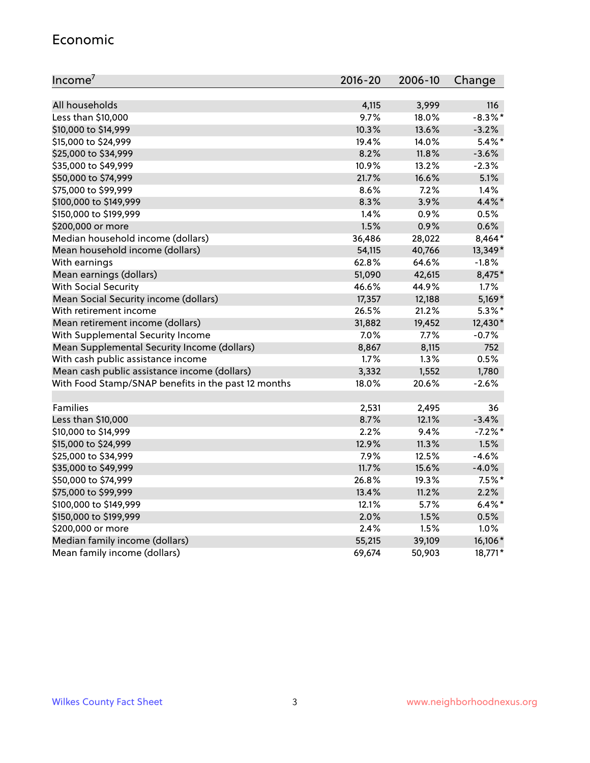#### Economic

| Income <sup>7</sup>                                 | $2016 - 20$ | 2006-10 | Change     |
|-----------------------------------------------------|-------------|---------|------------|
|                                                     |             |         |            |
| All households                                      | 4,115       | 3,999   | 116        |
| Less than \$10,000                                  | 9.7%        | 18.0%   | $-8.3\%$ * |
| \$10,000 to \$14,999                                | 10.3%       | 13.6%   | $-3.2%$    |
| \$15,000 to \$24,999                                | 19.4%       | 14.0%   | $5.4\%$ *  |
| \$25,000 to \$34,999                                | 8.2%        | 11.8%   | $-3.6%$    |
| \$35,000 to \$49,999                                | 10.9%       | 13.2%   | $-2.3%$    |
| \$50,000 to \$74,999                                | 21.7%       | 16.6%   | 5.1%       |
| \$75,000 to \$99,999                                | 8.6%        | 7.2%    | 1.4%       |
| \$100,000 to \$149,999                              | 8.3%        | 3.9%    | 4.4%*      |
| \$150,000 to \$199,999                              | 1.4%        | 0.9%    | 0.5%       |
| \$200,000 or more                                   | 1.5%        | 0.9%    | 0.6%       |
| Median household income (dollars)                   | 36,486      | 28,022  | 8,464*     |
| Mean household income (dollars)                     | 54,115      | 40,766  | 13,349*    |
| With earnings                                       | 62.8%       | 64.6%   | $-1.8%$    |
| Mean earnings (dollars)                             | 51,090      | 42,615  | 8,475*     |
| <b>With Social Security</b>                         | 46.6%       | 44.9%   | 1.7%       |
| Mean Social Security income (dollars)               | 17,357      | 12,188  | $5,169*$   |
| With retirement income                              | 26.5%       | 21.2%   | $5.3\%$ *  |
| Mean retirement income (dollars)                    | 31,882      | 19,452  | 12,430*    |
| With Supplemental Security Income                   | 7.0%        | $7.7\%$ | $-0.7%$    |
| Mean Supplemental Security Income (dollars)         | 8,867       | 8,115   | 752        |
| With cash public assistance income                  | 1.7%        | 1.3%    | 0.5%       |
| Mean cash public assistance income (dollars)        | 3,332       | 1,552   | 1,780      |
| With Food Stamp/SNAP benefits in the past 12 months | 18.0%       | 20.6%   | $-2.6%$    |
|                                                     |             |         |            |
| Families                                            | 2,531       | 2,495   | 36         |
| Less than \$10,000                                  | 8.7%        | 12.1%   | $-3.4%$    |
| \$10,000 to \$14,999                                | 2.2%        | 9.4%    | $-7.2%$ *  |
| \$15,000 to \$24,999                                | 12.9%       | 11.3%   | 1.5%       |
| \$25,000 to \$34,999                                | 7.9%        | 12.5%   | $-4.6%$    |
| \$35,000 to \$49,999                                | 11.7%       | 15.6%   | $-4.0%$    |
| \$50,000 to \$74,999                                | 26.8%       | 19.3%   | $7.5%$ *   |
| \$75,000 to \$99,999                                | 13.4%       | 11.2%   | 2.2%       |
| \$100,000 to \$149,999                              | 12.1%       | 5.7%    | $6.4\%$ *  |
| \$150,000 to \$199,999                              | 2.0%        | 1.5%    | 0.5%       |
| \$200,000 or more                                   | 2.4%        | 1.5%    | 1.0%       |
| Median family income (dollars)                      | 55,215      | 39,109  | 16,106*    |
| Mean family income (dollars)                        | 69,674      | 50,903  | 18,771*    |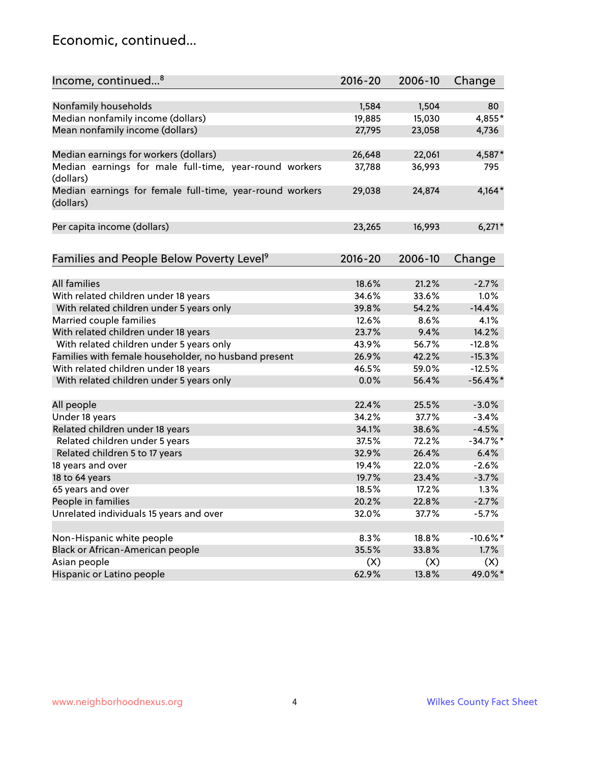#### Economic, continued...

| Income, continued <sup>8</sup>                                        | $2016 - 20$ | 2006-10 | Change      |
|-----------------------------------------------------------------------|-------------|---------|-------------|
|                                                                       |             |         |             |
| Nonfamily households                                                  | 1,584       | 1,504   | 80          |
| Median nonfamily income (dollars)                                     | 19,885      | 15,030  | 4,855*      |
| Mean nonfamily income (dollars)                                       | 27,795      | 23,058  | 4,736       |
| Median earnings for workers (dollars)                                 | 26,648      | 22,061  | 4,587*      |
| Median earnings for male full-time, year-round workers                | 37,788      | 36,993  | 795         |
| (dollars)                                                             |             |         |             |
| Median earnings for female full-time, year-round workers<br>(dollars) | 29,038      | 24,874  | 4,164*      |
| Per capita income (dollars)                                           | 23,265      | 16,993  | $6,271*$    |
|                                                                       |             |         |             |
| Families and People Below Poverty Level <sup>9</sup>                  | 2016-20     | 2006-10 | Change      |
|                                                                       |             |         |             |
| <b>All families</b>                                                   | 18.6%       | 21.2%   | $-2.7%$     |
| With related children under 18 years                                  | 34.6%       | 33.6%   | 1.0%        |
| With related children under 5 years only                              | 39.8%       | 54.2%   | $-14.4%$    |
| Married couple families                                               | 12.6%       | 8.6%    | 4.1%        |
| With related children under 18 years                                  | 23.7%       | 9.4%    | 14.2%       |
| With related children under 5 years only                              | 43.9%       | 56.7%   | $-12.8%$    |
| Families with female householder, no husband present                  | 26.9%       | 42.2%   | $-15.3%$    |
| With related children under 18 years                                  | 46.5%       | 59.0%   | $-12.5%$    |
| With related children under 5 years only                              | 0.0%        | 56.4%   | $-56.4\%$ * |
| All people                                                            | 22.4%       | 25.5%   | $-3.0%$     |
| Under 18 years                                                        | 34.2%       | 37.7%   | $-3.4%$     |
| Related children under 18 years                                       | 34.1%       | 38.6%   | $-4.5%$     |
| Related children under 5 years                                        | 37.5%       | 72.2%   | $-34.7%$ *  |
| Related children 5 to 17 years                                        | 32.9%       | 26.4%   | 6.4%        |
|                                                                       |             |         |             |
| 18 years and over                                                     | 19.4%       | 22.0%   | $-2.6%$     |
| 18 to 64 years                                                        | 19.7%       | 23.4%   | $-3.7%$     |
| 65 years and over                                                     | 18.5%       | 17.2%   | 1.3%        |
| People in families                                                    | 20.2%       | 22.8%   | $-2.7%$     |
| Unrelated individuals 15 years and over                               | 32.0%       | 37.7%   | $-5.7%$     |
|                                                                       |             |         |             |
| Non-Hispanic white people                                             | 8.3%        | 18.8%   | $-10.6\%$ * |
| Black or African-American people                                      | 35.5%       | 33.8%   | 1.7%        |
| Asian people                                                          | (X)         | (X)     | (X)         |
| Hispanic or Latino people                                             | 62.9%       | 13.8%   | 49.0%*      |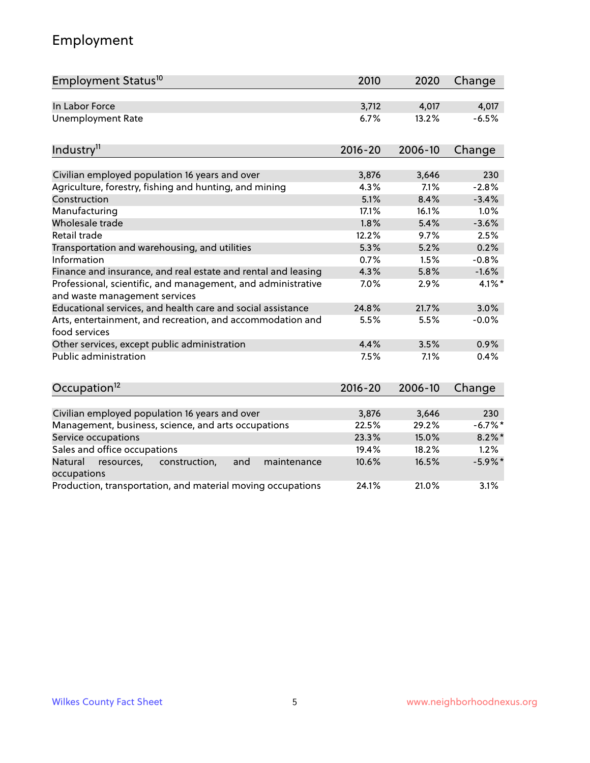# Employment

| Employment Status <sup>10</sup>                                                               | 2010        | 2020    | Change     |
|-----------------------------------------------------------------------------------------------|-------------|---------|------------|
| In Labor Force                                                                                | 3,712       | 4,017   | 4,017      |
| <b>Unemployment Rate</b>                                                                      | 6.7%        | 13.2%   | $-6.5%$    |
| Industry <sup>11</sup>                                                                        | $2016 - 20$ | 2006-10 | Change     |
|                                                                                               |             |         |            |
| Civilian employed population 16 years and over                                                | 3,876       | 3,646   | 230        |
| Agriculture, forestry, fishing and hunting, and mining                                        | 4.3%        | 7.1%    | $-2.8%$    |
| Construction                                                                                  | 5.1%        | 8.4%    | $-3.4%$    |
| Manufacturing                                                                                 | 17.1%       | 16.1%   | 1.0%       |
| Wholesale trade                                                                               | 1.8%        | 5.4%    | $-3.6%$    |
| Retail trade                                                                                  | 12.2%       | 9.7%    | 2.5%       |
| Transportation and warehousing, and utilities                                                 | 5.3%        | 5.2%    | 0.2%       |
| Information                                                                                   | 0.7%        | 1.5%    | $-0.8%$    |
| Finance and insurance, and real estate and rental and leasing                                 | 4.3%        | 5.8%    | $-1.6%$    |
| Professional, scientific, and management, and administrative<br>and waste management services | 7.0%        | 2.9%    | 4.1%*      |
| Educational services, and health care and social assistance                                   | 24.8%       | 21.7%   | 3.0%       |
| Arts, entertainment, and recreation, and accommodation and<br>food services                   | 5.5%        | 5.5%    | $-0.0%$    |
| Other services, except public administration                                                  | 4.4%        | 3.5%    | 0.9%       |
| <b>Public administration</b>                                                                  | 7.5%        | 7.1%    | 0.4%       |
| Occupation <sup>12</sup>                                                                      | $2016 - 20$ | 2006-10 | Change     |
|                                                                                               |             |         |            |
| Civilian employed population 16 years and over                                                | 3,876       | 3,646   | 230        |
| Management, business, science, and arts occupations                                           | 22.5%       | 29.2%   | $-6.7\%$ * |
| Service occupations                                                                           | 23.3%       | 15.0%   | $8.2\%$ *  |
| Sales and office occupations                                                                  | 19.4%       | 18.2%   | 1.2%       |
| Natural<br>resources,<br>construction,<br>and<br>maintenance<br>occupations                   | 10.6%       | 16.5%   | $-5.9\%$ * |
| Production, transportation, and material moving occupations                                   | 24.1%       | 21.0%   | 3.1%       |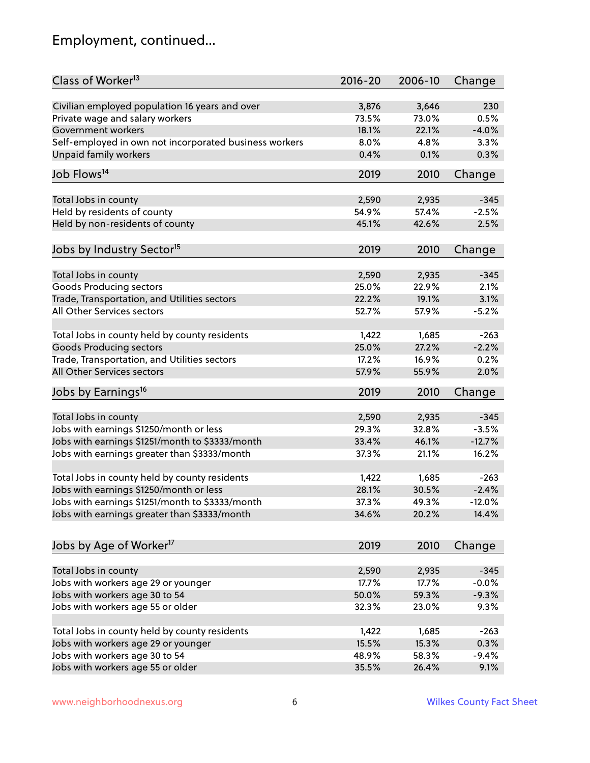# Employment, continued...

| Class of Worker <sup>13</sup>                          | $2016 - 20$ | 2006-10 | Change   |
|--------------------------------------------------------|-------------|---------|----------|
| Civilian employed population 16 years and over         | 3,876       | 3,646   | 230      |
| Private wage and salary workers                        | 73.5%       | 73.0%   | 0.5%     |
| Government workers                                     | 18.1%       | 22.1%   | $-4.0%$  |
| Self-employed in own not incorporated business workers | 8.0%        | 4.8%    | 3.3%     |
| <b>Unpaid family workers</b>                           | 0.4%        | 0.1%    | 0.3%     |
|                                                        |             |         |          |
| Job Flows <sup>14</sup>                                | 2019        | 2010    | Change   |
| Total Jobs in county                                   | 2,590       | 2,935   | $-345$   |
| Held by residents of county                            | 54.9%       | 57.4%   | $-2.5%$  |
| Held by non-residents of county                        | 45.1%       | 42.6%   | 2.5%     |
|                                                        |             |         |          |
| Jobs by Industry Sector <sup>15</sup>                  | 2019        | 2010    | Change   |
| Total Jobs in county                                   | 2,590       | 2,935   | $-345$   |
| Goods Producing sectors                                | 25.0%       | 22.9%   | 2.1%     |
| Trade, Transportation, and Utilities sectors           | 22.2%       | 19.1%   | 3.1%     |
| All Other Services sectors                             | 52.7%       | 57.9%   | $-5.2%$  |
|                                                        |             |         |          |
| Total Jobs in county held by county residents          | 1,422       | 1,685   | $-263$   |
| <b>Goods Producing sectors</b>                         | 25.0%       | 27.2%   | $-2.2%$  |
| Trade, Transportation, and Utilities sectors           | 17.2%       | 16.9%   | 0.2%     |
| All Other Services sectors                             | 57.9%       | 55.9%   | 2.0%     |
| Jobs by Earnings <sup>16</sup>                         | 2019        | 2010    | Change   |
|                                                        |             |         |          |
| Total Jobs in county                                   | 2,590       | 2,935   | $-345$   |
| Jobs with earnings \$1250/month or less                | 29.3%       | 32.8%   | $-3.5%$  |
| Jobs with earnings \$1251/month to \$3333/month        | 33.4%       | 46.1%   | $-12.7%$ |
| Jobs with earnings greater than \$3333/month           | 37.3%       | 21.1%   | 16.2%    |
|                                                        |             |         |          |
| Total Jobs in county held by county residents          | 1,422       | 1,685   | $-263$   |
| Jobs with earnings \$1250/month or less                | 28.1%       | 30.5%   | $-2.4%$  |
| Jobs with earnings \$1251/month to \$3333/month        | 37.3%       | 49.3%   | $-12.0%$ |
| Jobs with earnings greater than \$3333/month           | 34.6%       | 20.2%   | 14.4%    |
| Jobs by Age of Worker <sup>17</sup>                    | 2019        | 2010    | Change   |
|                                                        |             |         |          |
| Total Jobs in county                                   | 2,590       | 2,935   | $-345$   |
| Jobs with workers age 29 or younger                    | 17.7%       | 17.7%   | $-0.0%$  |
| Jobs with workers age 30 to 54                         | 50.0%       | 59.3%   | $-9.3%$  |
| Jobs with workers age 55 or older                      | 32.3%       | 23.0%   | 9.3%     |
|                                                        |             |         |          |
| Total Jobs in county held by county residents          | 1,422       | 1,685   | $-263$   |
| Jobs with workers age 29 or younger                    | 15.5%       | 15.3%   | 0.3%     |
| Jobs with workers age 30 to 54                         | 48.9%       | 58.3%   | $-9.4%$  |
| Jobs with workers age 55 or older                      | 35.5%       | 26.4%   | 9.1%     |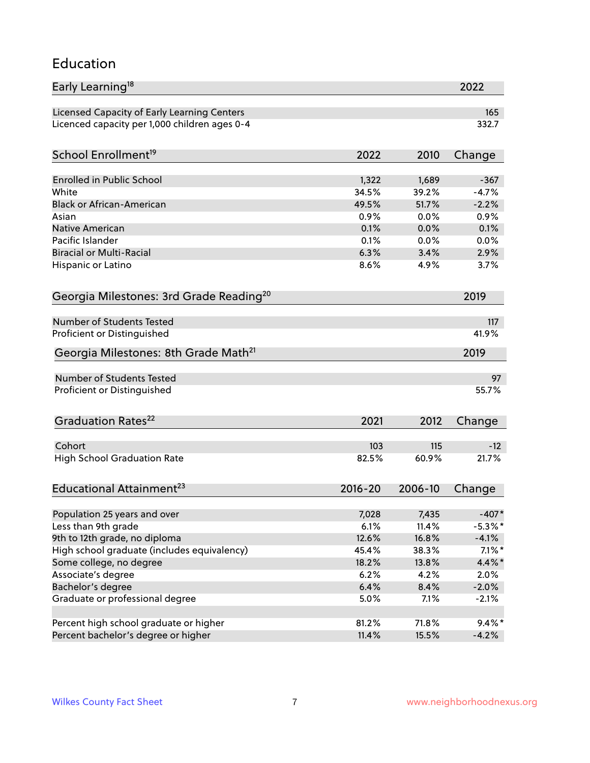#### Education

| Early Learning <sup>18</sup>                        |               |              | 2022       |
|-----------------------------------------------------|---------------|--------------|------------|
| Licensed Capacity of Early Learning Centers         |               |              | 165        |
| Licenced capacity per 1,000 children ages 0-4       |               |              | 332.7      |
| School Enrollment <sup>19</sup>                     | 2022          | 2010         | Change     |
|                                                     |               |              |            |
| <b>Enrolled in Public School</b>                    | 1,322         | 1,689        | $-367$     |
| White                                               | 34.5%         | 39.2%        | $-4.7%$    |
| <b>Black or African-American</b>                    | 49.5%<br>0.9% | 51.7%        | $-2.2%$    |
| Asian<br><b>Native American</b>                     | 0.1%          | 0.0%         | 0.9%       |
|                                                     |               | 0.0%         | 0.1%       |
| Pacific Islander<br><b>Biracial or Multi-Racial</b> | 0.1%<br>6.3%  | 0.0%<br>3.4% | 0.0%       |
|                                                     |               |              | 2.9%       |
| Hispanic or Latino                                  | 8.6%          | 4.9%         | 3.7%       |
| Georgia Milestones: 3rd Grade Reading <sup>20</sup> |               |              | 2019       |
| Number of Students Tested                           |               |              | 117        |
| Proficient or Distinguished                         |               |              | 41.9%      |
| Georgia Milestones: 8th Grade Math <sup>21</sup>    |               |              | 2019       |
| <b>Number of Students Tested</b>                    |               |              | 97         |
| Proficient or Distinguished                         |               |              | 55.7%      |
| Graduation Rates <sup>22</sup>                      | 2021          | 2012         | Change     |
| Cohort                                              | 103           | 115          | $-12$      |
| <b>High School Graduation Rate</b>                  | 82.5%         | 60.9%        | 21.7%      |
| Educational Attainment <sup>23</sup>                | $2016 - 20$   | 2006-10      | Change     |
|                                                     |               |              |            |
| Population 25 years and over                        | 7,028         | 7,435        | $-407*$    |
| Less than 9th grade                                 | 6.1%          | 11.4%        | $-5.3\%$ * |
| 9th to 12th grade, no diploma                       | 12.6%         | 16.8%        | $-4.1%$    |
| High school graduate (includes equivalency)         | 45.4%         | 38.3%        | $7.1\%$ *  |
| Some college, no degree                             | 18.2%         | 13.8%        | $4.4\%$ *  |
| Associate's degree                                  | 6.2%          | 4.2%         | 2.0%       |
| Bachelor's degree                                   | 6.4%          | 8.4%         | $-2.0%$    |
| Graduate or professional degree                     | 5.0%          | 7.1%         | $-2.1%$    |
| Percent high school graduate or higher              | 81.2%         | 71.8%        | $9.4\%*$   |
| Percent bachelor's degree or higher                 | 11.4%         | 15.5%        | $-4.2%$    |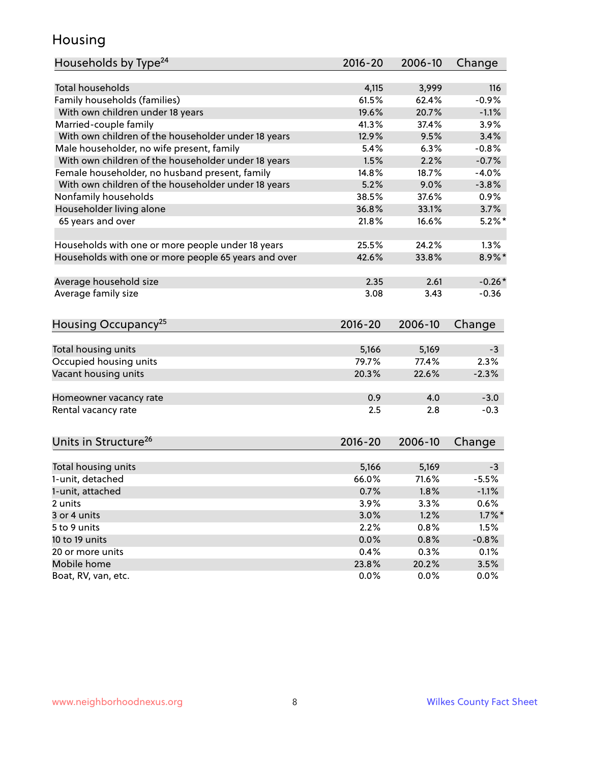#### Housing

| Households by Type <sup>24</sup>                     | 2016-20        | 2006-10        | Change       |
|------------------------------------------------------|----------------|----------------|--------------|
|                                                      |                |                |              |
| <b>Total households</b>                              | 4,115          | 3,999          | 116          |
| Family households (families)                         | 61.5%          | 62.4%          | $-0.9%$      |
| With own children under 18 years                     | 19.6%          | 20.7%          | $-1.1%$      |
| Married-couple family                                | 41.3%          | 37.4%          | 3.9%         |
| With own children of the householder under 18 years  | 12.9%          | 9.5%           | 3.4%         |
| Male householder, no wife present, family            | 5.4%           | 6.3%           | $-0.8%$      |
| With own children of the householder under 18 years  | 1.5%           | 2.2%           | $-0.7%$      |
| Female householder, no husband present, family       | 14.8%          | 18.7%          | $-4.0%$      |
| With own children of the householder under 18 years  | 5.2%           | 9.0%           | $-3.8%$      |
| Nonfamily households                                 | 38.5%          | 37.6%          | 0.9%         |
| Householder living alone                             | 36.8%          | 33.1%          | 3.7%         |
| 65 years and over                                    | 21.8%          | 16.6%          | $5.2%$ *     |
|                                                      |                |                |              |
| Households with one or more people under 18 years    | 25.5%          | 24.2%          | 1.3%         |
| Households with one or more people 65 years and over | 42.6%          | 33.8%          | $8.9\%$ *    |
| Average household size                               | 2.35           | 2.61           | $-0.26*$     |
| Average family size                                  | 3.08           | 3.43           | $-0.36$      |
|                                                      |                |                |              |
| Housing Occupancy <sup>25</sup>                      | $2016 - 20$    | 2006-10        | Change       |
|                                                      |                |                |              |
| Total housing units                                  | 5,166<br>79.7% | 5,169<br>77.4% | $-3$<br>2.3% |
| Occupied housing units                               |                |                |              |
| Vacant housing units                                 | 20.3%          | 22.6%          | $-2.3%$      |
| Homeowner vacancy rate                               | 0.9            | 4.0            | $-3.0$       |
| Rental vacancy rate                                  | 2.5            | 2.8            | $-0.3$       |
|                                                      |                |                |              |
| Units in Structure <sup>26</sup>                     | 2016-20        | 2006-10        | Change       |
|                                                      |                |                |              |
| Total housing units                                  | 5,166          | 5,169          | $-3$         |
| 1-unit, detached                                     | 66.0%          | 71.6%          | $-5.5%$      |
| 1-unit, attached                                     | 0.7%           | 1.8%           | $-1.1%$      |
| 2 units                                              | 3.9%           | 3.3%           | 0.6%         |
| 3 or 4 units                                         | 3.0%           | 1.2%           | $1.7\%$ *    |
| 5 to 9 units                                         | 2.2%           | 0.8%           | 1.5%         |
| 10 to 19 units                                       | 0.0%           | 0.8%           | $-0.8%$      |
| 20 or more units                                     | 0.4%           | 0.3%           | 0.1%         |
| Mobile home                                          | 23.8%          | 20.2%          | 3.5%         |
| Boat, RV, van, etc.                                  | 0.0%           | 0.0%           | 0.0%         |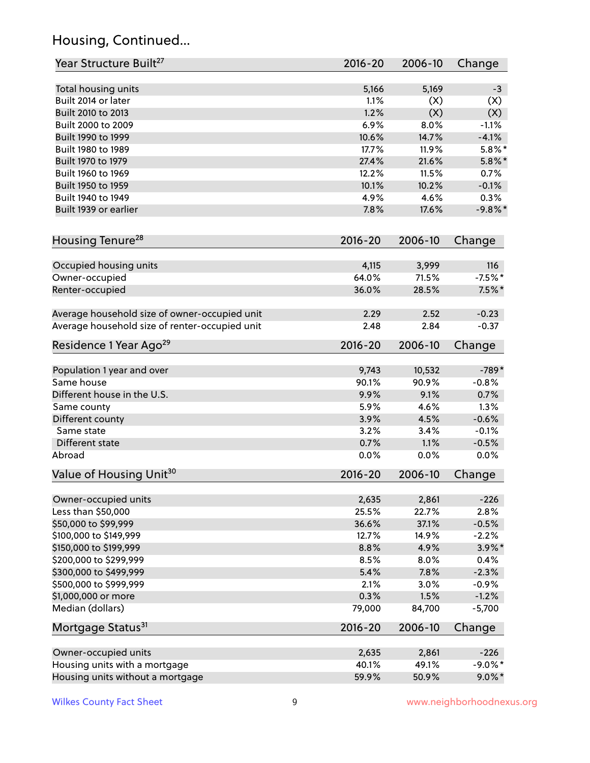# Housing, Continued...

| Year Structure Built <sup>27</sup>             | 2016-20     | 2006-10 | Change     |
|------------------------------------------------|-------------|---------|------------|
|                                                |             |         |            |
| Total housing units                            | 5,166       | 5,169   | $-3$       |
| Built 2014 or later                            | 1.1%        | (X)     | (X)        |
| Built 2010 to 2013                             | 1.2%        | (X)     | (X)        |
| Built 2000 to 2009                             | 6.9%        | 8.0%    | $-1.1%$    |
| Built 1990 to 1999                             | 10.6%       | 14.7%   | $-4.1%$    |
| Built 1980 to 1989                             | 17.7%       | 11.9%   | $5.8\%$ *  |
| Built 1970 to 1979                             | 27.4%       | 21.6%   | $5.8\%$ *  |
| Built 1960 to 1969                             | 12.2%       | 11.5%   | 0.7%       |
| Built 1950 to 1959                             | 10.1%       | 10.2%   | $-0.1%$    |
| Built 1940 to 1949                             | 4.9%        | 4.6%    | 0.3%       |
| Built 1939 or earlier                          | 7.8%        | 17.6%   | $-9.8\%$ * |
| Housing Tenure <sup>28</sup>                   | $2016 - 20$ | 2006-10 | Change     |
| Occupied housing units                         | 4,115       | 3,999   | 116        |
| Owner-occupied                                 | 64.0%       | 71.5%   | $-7.5%$ *  |
| Renter-occupied                                | 36.0%       | 28.5%   | $7.5\%$ *  |
| Average household size of owner-occupied unit  | 2.29        | 2.52    | $-0.23$    |
| Average household size of renter-occupied unit | 2.48        | 2.84    | $-0.37$    |
| Residence 1 Year Ago <sup>29</sup>             | 2016-20     | 2006-10 | Change     |
|                                                |             |         |            |
| Population 1 year and over                     | 9,743       | 10,532  | $-789*$    |
| Same house                                     | 90.1%       | 90.9%   | $-0.8%$    |
| Different house in the U.S.                    | 9.9%        | 9.1%    | 0.7%       |
| Same county                                    | 5.9%        | 4.6%    | 1.3%       |
| Different county                               | 3.9%        | 4.5%    | $-0.6%$    |
| Same state                                     | 3.2%        | 3.4%    | $-0.1%$    |
| Different state                                | 0.7%        | 1.1%    | $-0.5%$    |
| Abroad                                         | 0.0%        | 0.0%    | 0.0%       |
| Value of Housing Unit <sup>30</sup>            | 2016-20     | 2006-10 | Change     |
|                                                |             |         |            |
| Owner-occupied units                           | 2,635       | 2,861   | $-226$     |
| Less than \$50,000                             | 25.5%       | 22.7%   | 2.8%       |
| \$50,000 to \$99,999                           | 36.6%       | 37.1%   | $-0.5%$    |
| \$100,000 to \$149,999                         | 12.7%       | 14.9%   | $-2.2%$    |
| \$150,000 to \$199,999                         | 8.8%        | 4.9%    | 3.9%*      |
| \$200,000 to \$299,999                         | 8.5%        | 8.0%    | 0.4%       |
| \$300,000 to \$499,999                         | 5.4%        | 7.8%    | $-2.3%$    |
| \$500,000 to \$999,999                         | 2.1%        | 3.0%    | $-0.9%$    |
| \$1,000,000 or more                            | 0.3%        | 1.5%    | $-1.2%$    |
| Median (dollars)                               | 79,000      | 84,700  | $-5,700$   |
| Mortgage Status <sup>31</sup>                  | $2016 - 20$ | 2006-10 | Change     |
| Owner-occupied units                           | 2,635       | 2,861   | $-226$     |
| Housing units with a mortgage                  | 40.1%       | 49.1%   | $-9.0\%$ * |
| Housing units without a mortgage               | 59.9%       | 50.9%   | $9.0\%$ *  |
|                                                |             |         |            |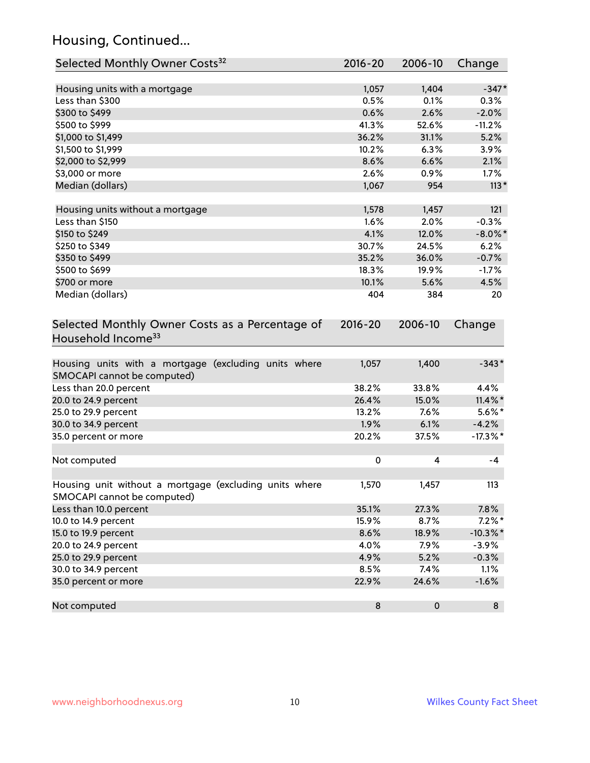# Housing, Continued...

| Selected Monthly Owner Costs <sup>32</sup>                                            | 2016-20     | 2006-10   | Change      |
|---------------------------------------------------------------------------------------|-------------|-----------|-------------|
| Housing units with a mortgage                                                         | 1,057       | 1,404     | $-347*$     |
| Less than \$300                                                                       | 0.5%        | 0.1%      | 0.3%        |
| \$300 to \$499                                                                        | 0.6%        | 2.6%      | $-2.0%$     |
| \$500 to \$999                                                                        | 41.3%       | 52.6%     | $-11.2%$    |
| \$1,000 to \$1,499                                                                    | 36.2%       | 31.1%     | 5.2%        |
| \$1,500 to \$1,999                                                                    | 10.2%       | 6.3%      | 3.9%        |
| \$2,000 to \$2,999                                                                    | 8.6%        | 6.6%      | 2.1%        |
| \$3,000 or more                                                                       | 2.6%        | 0.9%      | 1.7%        |
| Median (dollars)                                                                      | 1,067       | 954       | $113*$      |
|                                                                                       |             |           |             |
| Housing units without a mortgage                                                      | 1,578       | 1,457     | 121         |
| Less than \$150                                                                       | 1.6%        | 2.0%      | $-0.3%$     |
| \$150 to \$249                                                                        | 4.1%        | 12.0%     | $-8.0\%$ *  |
| \$250 to \$349                                                                        | 30.7%       | 24.5%     | 6.2%        |
| \$350 to \$499                                                                        | 35.2%       | 36.0%     | $-0.7%$     |
| \$500 to \$699                                                                        | 18.3%       | 19.9%     | $-1.7%$     |
| \$700 or more                                                                         | 10.1%       | 5.6%      | 4.5%        |
| Median (dollars)                                                                      | 404         | 384       | 20          |
| Selected Monthly Owner Costs as a Percentage of<br>Household Income <sup>33</sup>     | $2016 - 20$ | 2006-10   | Change      |
| Housing units with a mortgage (excluding units where<br>SMOCAPI cannot be computed)   | 1,057       | 1,400     | $-343*$     |
| Less than 20.0 percent                                                                | 38.2%       | 33.8%     | 4.4%        |
| 20.0 to 24.9 percent                                                                  | 26.4%       | 15.0%     | $11.4\%$ *  |
| 25.0 to 29.9 percent                                                                  | 13.2%       | 7.6%      | $5.6\%$ *   |
| 30.0 to 34.9 percent                                                                  | 1.9%        | 6.1%      | $-4.2%$     |
| 35.0 percent or more                                                                  | 20.2%       | 37.5%     | $-17.3\%$ * |
| Not computed                                                                          | 0           | 4         | $-4$        |
| Housing unit without a mortgage (excluding units where<br>SMOCAPI cannot be computed) | 1,570       | 1,457     | 113         |
| Less than 10.0 percent                                                                | 35.1%       | 27.3%     | 7.8%        |
| 10.0 to 14.9 percent                                                                  | 15.9%       | 8.7%      | $7.2\%$ *   |
| 15.0 to 19.9 percent                                                                  | 8.6%        | 18.9%     | $-10.3\%$ * |
| 20.0 to 24.9 percent                                                                  | 4.0%        | 7.9%      | $-3.9%$     |
| 25.0 to 29.9 percent                                                                  | 4.9%        | 5.2%      | $-0.3%$     |
| 30.0 to 34.9 percent                                                                  | 8.5%        | 7.4%      | 1.1%        |
| 35.0 percent or more                                                                  | 22.9%       | 24.6%     | $-1.6%$     |
| Not computed                                                                          | $\bf 8$     | $\pmb{0}$ | 8           |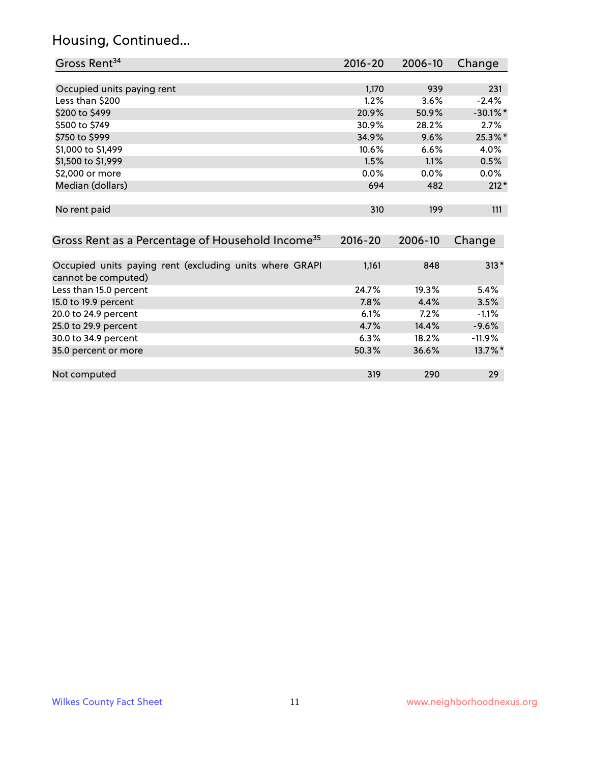# Housing, Continued...

| Gross Rent <sup>34</sup>                                     | $2016 - 20$ | 2006-10 | Change      |
|--------------------------------------------------------------|-------------|---------|-------------|
|                                                              |             |         |             |
| Occupied units paying rent                                   | 1,170       | 939     | 231         |
| Less than \$200                                              | 1.2%        | 3.6%    | $-2.4%$     |
| \$200 to \$499                                               | 20.9%       | 50.9%   | $-30.1\%$ * |
| \$500 to \$749                                               | 30.9%       | 28.2%   | 2.7%        |
| \$750 to \$999                                               | 34.9%       | 9.6%    | 25.3%*      |
| \$1,000 to \$1,499                                           | 10.6%       | 6.6%    | 4.0%        |
| \$1,500 to \$1,999                                           | 1.5%        | 1.1%    | 0.5%        |
| \$2,000 or more                                              | 0.0%        | 0.0%    | $0.0\%$     |
| Median (dollars)                                             | 694         | 482     | $212*$      |
|                                                              |             |         |             |
| No rent paid                                                 | 310         | 199     | 111         |
|                                                              |             |         |             |
| Gross Rent as a Percentage of Household Income <sup>35</sup> | $2016 - 20$ | 2006-10 | Change      |
|                                                              |             |         |             |
| Occupied units paying rent (excluding units where GRAPI      | 1,161       | 848     | $313*$      |
| cannot be computed)                                          |             |         |             |
| Less than 15.0 percent                                       | 24.7%       | 19.3%   | 5.4%        |
| 15.0 to 19.9 percent                                         | 7.8%        | 4.4%    | 3.5%        |
| 20.0 to 24.9 percent                                         | 6.1%        | 7.2%    | $-1.1%$     |
| 25.0 to 29.9 percent                                         | 4.7%        | 14.4%   | $-9.6%$     |
| 30.0 to 34.9 percent                                         | 6.3%        | 18.2%   | $-11.9%$    |
| 35.0 percent or more                                         | 50.3%       | 36.6%   | 13.7%*      |
|                                                              |             |         |             |

| Not computed | 210 | 290 | າດ |
|--------------|-----|-----|----|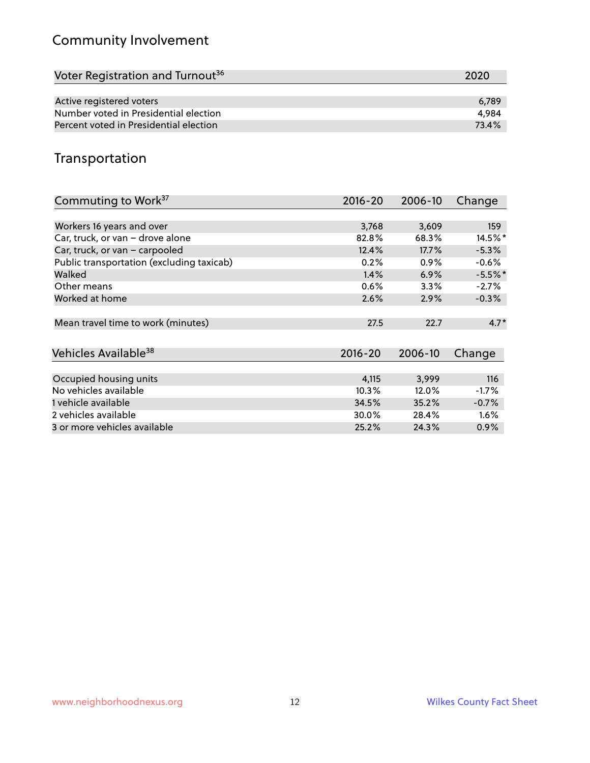# Community Involvement

| Voter Registration and Turnout <sup>36</sup> | 2020  |
|----------------------------------------------|-------|
|                                              |       |
| Active registered voters                     | 6.789 |
| Number voted in Presidential election        | 4.984 |
| Percent voted in Presidential election       | 73.4% |

#### Transportation

| Commuting to Work <sup>37</sup>           | 2016-20     | 2006-10 | Change    |
|-------------------------------------------|-------------|---------|-----------|
|                                           |             |         |           |
| Workers 16 years and over                 | 3,768       | 3,609   | 159       |
| Car, truck, or van - drove alone          | 82.8%       | 68.3%   | 14.5%*    |
| Car, truck, or van - carpooled            | 12.4%       | 17.7%   | $-5.3%$   |
| Public transportation (excluding taxicab) | 0.2%        | $0.9\%$ | $-0.6%$   |
| Walked                                    | 1.4%        | 6.9%    | $-5.5%$ * |
| Other means                               | 0.6%        | 3.3%    | $-2.7%$   |
| Worked at home                            | 2.6%        | 2.9%    | $-0.3%$   |
| Mean travel time to work (minutes)        | 27.5        | 22.7    | $4.7*$    |
| Vehicles Available <sup>38</sup>          | $2016 - 20$ | 2006-10 | Change    |
| Occupied housing units                    | 4,115       | 3,999   | 116       |
| No vehicles available                     | 10.3%       | 12.0%   | $-1.7%$   |
| 1 vehicle available                       | 34.5%       | 35.2%   | $-0.7%$   |
| 2 vehicles available                      | 30.0%       | 28.4%   | $1.6\%$   |
| 3 or more vehicles available              | 25.2%       | 24.3%   | $0.9\%$   |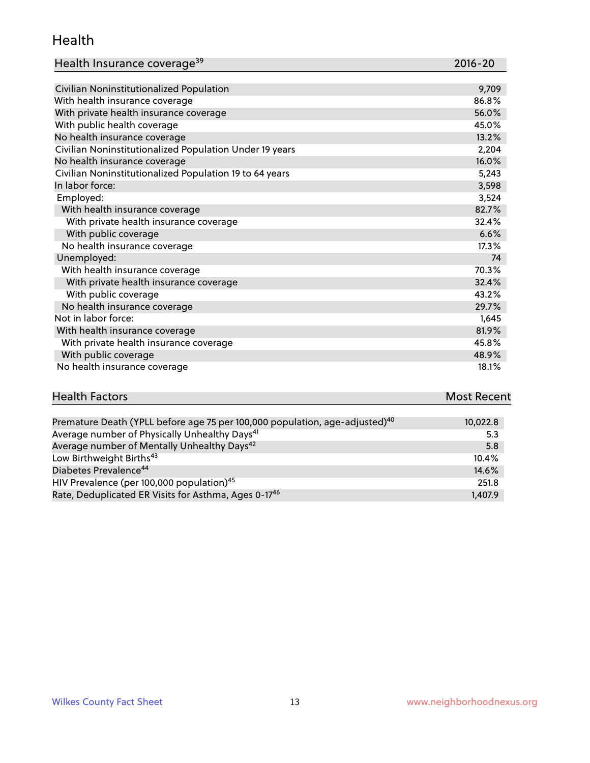#### Health

| Health Insurance coverage <sup>39</sup> | 2016-20 |
|-----------------------------------------|---------|
|-----------------------------------------|---------|

| Civilian Noninstitutionalized Population                | 9,709 |
|---------------------------------------------------------|-------|
| With health insurance coverage                          | 86.8% |
| With private health insurance coverage                  | 56.0% |
| With public health coverage                             | 45.0% |
| No health insurance coverage                            | 13.2% |
| Civilian Noninstitutionalized Population Under 19 years | 2,204 |
| No health insurance coverage                            | 16.0% |
| Civilian Noninstitutionalized Population 19 to 64 years | 5,243 |
| In labor force:                                         | 3,598 |
| Employed:                                               | 3,524 |
| With health insurance coverage                          | 82.7% |
| With private health insurance coverage                  | 32.4% |
| With public coverage                                    | 6.6%  |
| No health insurance coverage                            | 17.3% |
| Unemployed:                                             | 74    |
| With health insurance coverage                          | 70.3% |
| With private health insurance coverage                  | 32.4% |
| With public coverage                                    | 43.2% |
| No health insurance coverage                            | 29.7% |
| Not in labor force:                                     | 1,645 |
| With health insurance coverage                          | 81.9% |
| With private health insurance coverage                  | 45.8% |
| With public coverage                                    | 48.9% |
| No health insurance coverage                            | 18.1% |

#### **Health Factors Most Recent** Premature Death (YPLL before age 75 per 100,000 population, age-adjusted)<sup>40</sup> 10,022.8

| Premature Death (YPLL before age 75 per 100,000 population, age-adjusted) <sup>10</sup> | 10.022.8 |
|-----------------------------------------------------------------------------------------|----------|
| Average number of Physically Unhealthy Days <sup>41</sup>                               | 5.3      |
| Average number of Mentally Unhealthy Days <sup>42</sup>                                 | 5.8      |
| Low Birthweight Births <sup>43</sup>                                                    | 10.4%    |
| Diabetes Prevalence <sup>44</sup>                                                       | 14.6%    |
| HIV Prevalence (per 100,000 population) <sup>45</sup>                                   | 251.8    |
| Rate, Deduplicated ER Visits for Asthma, Ages 0-17 <sup>46</sup>                        | 1.407.9  |